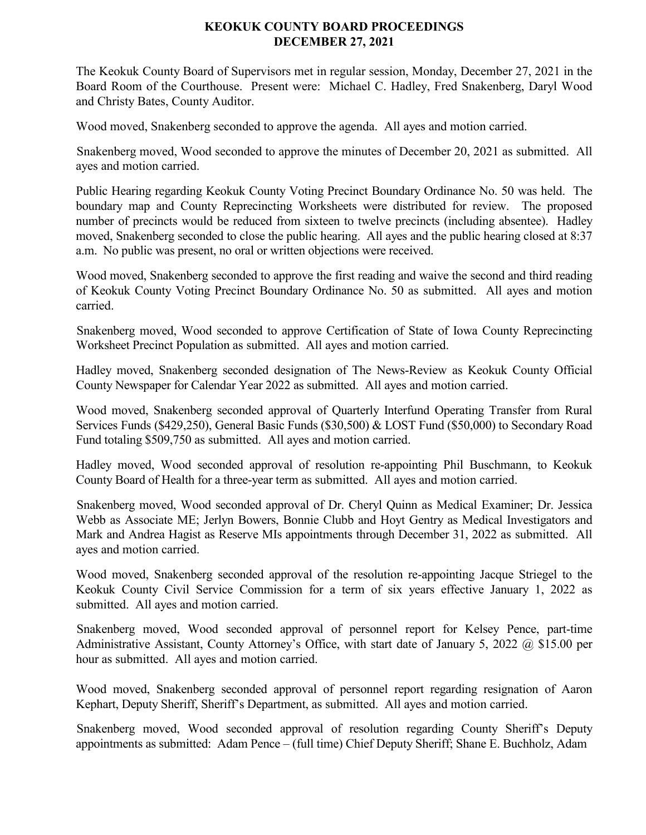## **KEOKUK COUNTY BOARD PROCEEDINGS DECEMBER 27, 2021**

The Keokuk County Board of Supervisors met in regular session, Monday, December 27, 2021 in the Board Room of the Courthouse. Present were: Michael C. Hadley, Fred Snakenberg, Daryl Wood and Christy Bates, County Auditor.

Wood moved, Snakenberg seconded to approve the agenda. All ayes and motion carried.

Snakenberg moved, Wood seconded to approve the minutes of December 20, 2021 as submitted. All ayes and motion carried.

Public Hearing regarding Keokuk County Voting Precinct Boundary Ordinance No. 50 was held. The boundary map and County Reprecincting Worksheets were distributed for review. The proposed number of precincts would be reduced from sixteen to twelve precincts (including absentee). Hadley moved, Snakenberg seconded to close the public hearing. All ayes and the public hearing closed at 8:37 a.m. No public was present, no oral or written objections were received.

Wood moved, Snakenberg seconded to approve the first reading and waive the second and third reading of Keokuk County Voting Precinct Boundary Ordinance No. 50 as submitted. All ayes and motion carried.

Snakenberg moved, Wood seconded to approve Certification of State of Iowa County Reprecincting Worksheet Precinct Population as submitted. All ayes and motion carried.

Hadley moved, Snakenberg seconded designation of The News-Review as Keokuk County Official County Newspaper for Calendar Year 2022 as submitted. All ayes and motion carried.

Wood moved, Snakenberg seconded approval of Quarterly Interfund Operating Transfer from Rural Services Funds (\$429,250), General Basic Funds (\$30,500) & LOST Fund (\$50,000) to Secondary Road Fund totaling \$509,750 as submitted. All ayes and motion carried.

Hadley moved, Wood seconded approval of resolution re-appointing Phil Buschmann, to Keokuk County Board of Health for a three-year term as submitted. All ayes and motion carried.

Snakenberg moved, Wood seconded approval of Dr. Cheryl Quinn as Medical Examiner; Dr. Jessica Webb as Associate ME; Jerlyn Bowers, Bonnie Clubb and Hoyt Gentry as Medical Investigators and Mark and Andrea Hagist as Reserve MIs appointments through December 31, 2022 as submitted. All ayes and motion carried.

Wood moved, Snakenberg seconded approval of the resolution re-appointing Jacque Striegel to the Keokuk County Civil Service Commission for a term of six years effective January 1, 2022 as submitted. All ayes and motion carried.

Snakenberg moved, Wood seconded approval of personnel report for Kelsey Pence, part-time Administrative Assistant, County Attorney's Office, with start date of January 5, 2022 @ \$15.00 per hour as submitted. All ayes and motion carried.

Wood moved, Snakenberg seconded approval of personnel report regarding resignation of Aaron Kephart, Deputy Sheriff, Sheriff's Department, as submitted. All ayes and motion carried.

Snakenberg moved, Wood seconded approval of resolution regarding County Sheriff's Deputy appointments as submitted: Adam Pence – (full time) Chief Deputy Sheriff; Shane E. Buchholz, Adam